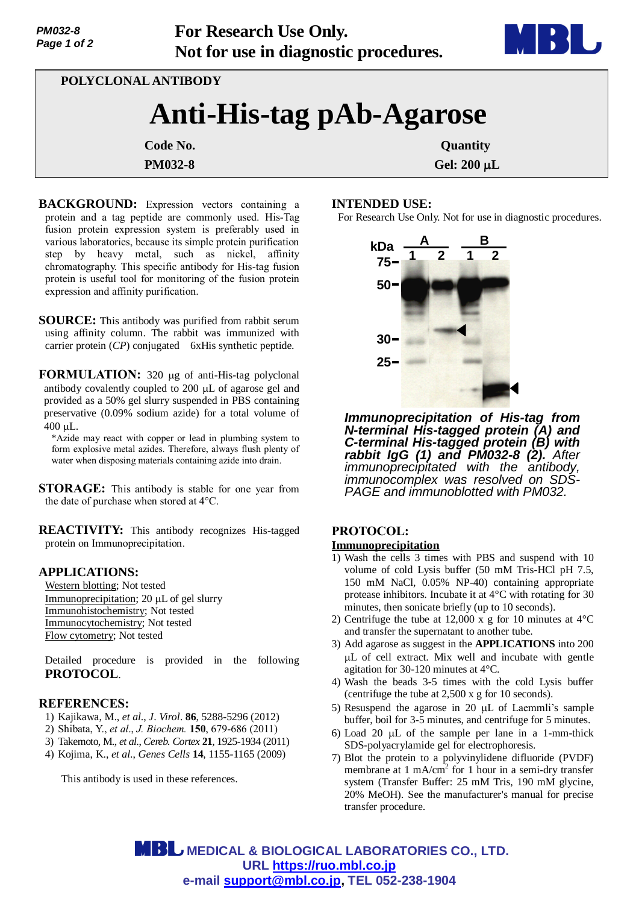

**POLYCLONAL ANTIBODY**

# **Anti-His-tag pAb-Agarose**

**PM032-8 Gel: 200 µL** 

**Code No.** Quantity

#### **BACKGROUND:** Expression vectors containing a protein and a tag peptide are commonly used. His-Tag fusion protein expression system is preferably used in various laboratories, because its simple protein purification step by heavy metal, such as nickel, affinity chromatography. This specific antibody for His-tag fusion protein is useful tool for monitoring of the fusion protein expression and affinity purification.

**SOURCE:** This antibody was purified from rabbit serum using affinity column. The rabbit was immunized with carrier protein (*CP*) conjugated 6xHis synthetic peptide.

**FORMULATION:** 320 µg of anti-His-tag polyclonal antibody covalently coupled to  $200 \mu L$  of agarose gel and provided as a 50% gel slurry suspended in PBS containing preservative (0.09% sodium azide) for a total volume of 400 µL.

\*Azide may react with copper or lead in plumbing system to form explosive metal azides. Therefore, always flush plenty of water when disposing materials containing azide into drain.

**STORAGE:** This antibody is stable for one year from the date of purchase when stored at 4°C.

**REACTIVITY:** This antibody recognizes His-tagged protein on Immunoprecipitation.

#### **APPLICATIONS:**

Western blotting; Not tested Immunoprecipitation;  $20 \mu L$  of gel slurry Immunohistochemistry; Not tested Immunocytochemistry; Not tested Flow cytometry; Not tested

Detailed procedure is provided in the following **PROTOCOL**.

### **REFERENCES:**

- 1) Kajikawa, M., *et al*., *J*. *Virol*. **86**, 5288-5296 (2012)
- 2) Shibata, Y., *et al*., *J. Biochem.* **150**, 679-686 (2011)
- 3) Takemoto, M., *et al*., *Cereb. Cortex* **21**, 1925-1934 (2011)
- 4) Kojima, K., *et al*., *Genes Cells* **14**, 1155-1165 (2009)

This antibody is used in these references.

# **INTENDED USE:**

For Research Use Only. Not for use in diagnostic procedures.



*Immunoprecipitation of His-tag from N-terminal His-tagged protein (A) and C-terminal His-tagged protein (B) with rabbit IgG (1) and PM032-8 (2). After immunoprecipitated with the antibody, immunocomplex was resolved on SDS-PAGE and immunoblotted with PM032.* 

## **PROTOCOL:**

#### **Immunoprecipitation**

- 1) Wash the cells 3 times with PBS and suspend with 10 volume of cold Lysis buffer (50 mM Tris-HCl pH 7.5, 150 mM NaCl, 0.05% NP-40) containing appropriate protease inhibitors. Incubate it at 4°C with rotating for 30 minutes, then sonicate briefly (up to 10 seconds).
- 2) Centrifuge the tube at 12,000 x g for 10 minutes at 4°C and transfer the supernatant to another tube.
- 3) Add agarose as suggest in the **APPLICATIONS** into 200 L of cell extract. Mix well and incubate with gentle agitation for 30-120 minutes at 4°C.
- 4) Wash the beads 3-5 times with the cold Lysis buffer (centrifuge the tube at 2,500 x g for 10 seconds).
- 5) Resuspend the agarose in 20  $\mu$ L of Laemmli's sample buffer, boil for 3-5 minutes, and centrifuge for 5 minutes.
- 6) Load 20  $\mu$ L of the sample per lane in a 1-mm-thick SDS-polyacrylamide gel for electrophoresis.
- 7) Blot the protein to a polyvinylidene difluoride (PVDF) membrane at  $1 \text{ mA/cm}^2$  for  $1 \text{ hour}$  in a semi-dry transfer system (Transfer Buffer: 25 mM Tris, 190 mM glycine, 20% MeOH). See the manufacturer's manual for precise transfer procedure.

 **MEDICAL & BIOLOGICAL LABORATORIES CO., LTD. URL https://ruo.mbl.co.jp e-mail support@mbl.co.jp, TEL 052-238-1904**